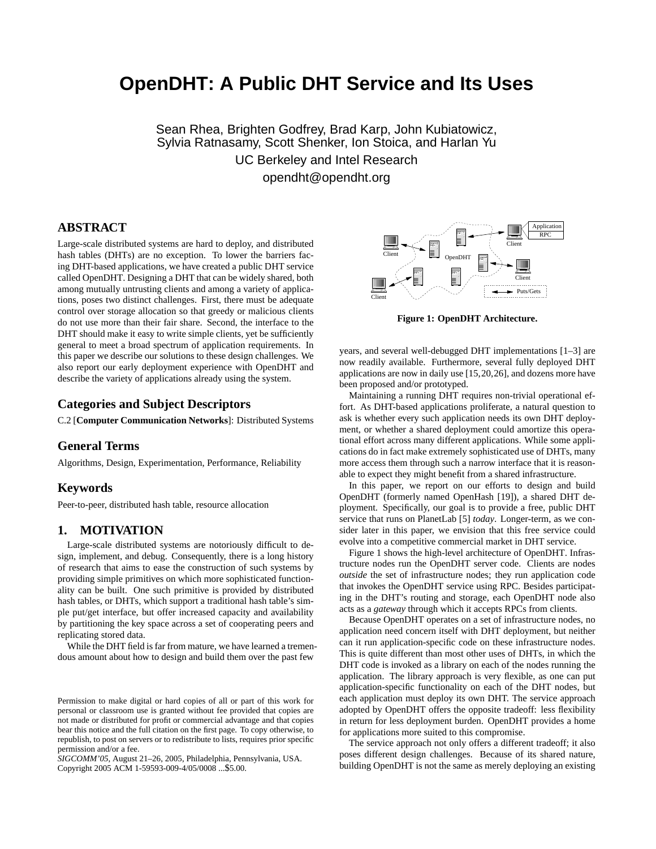# **OpenDHT: A Public DHT Service and Its Uses**

Sean Rhea, Brighten Godfrey, Brad Karp, John Kubiatowicz, Sylvia Ratnasamy, Scott Shenker, Ion Stoica, and Harlan Yu UC Berkeley and Intel Research opendht@opendht.org

# **ABSTRACT**

Large-scale distributed systems are hard to deploy, and distributed hash tables (DHTs) are no exception. To lower the barriers facing DHT-based applications, we have created a public DHT service called OpenDHT. Designing a DHT that can be widely shared, both among mutually untrusting clients and among a variety of applications, poses two distinct challenges. First, there must be adequate control over storage allocation so that greedy or malicious clients do not use more than their fair share. Second, the interface to the DHT should make it easy to write simple clients, yet be sufficiently general to meet a broad spectrum of application requirements. In this paper we describe our solutions to these design challenges. We also report our early deployment experience with OpenDHT and describe the variety of applications already using the system.

# **Categories and Subject Descriptors**

C.2 [**Computer Communication Networks**]: Distributed Systems

#### **General Terms**

Algorithms, Design, Experimentation, Performance, Reliability

#### **Keywords**

Peer-to-peer, distributed hash table, resource allocation

# **1. MOTIVATION**

Large-scale distributed systems are notoriously difficult to design, implement, and debug. Consequently, there is a long history of research that aims to ease the construction of such systems by providing simple primitives on which more sophisticated functionality can be built. One such primitive is provided by distributed hash tables, or DHTs, which support a traditional hash table's simple put/get interface, but offer increased capacity and availability by partitioning the key space across a set of cooperating peers and replicating stored data.

While the DHT field is far from mature, we have learned a tremendous amount about how to design and build them over the past few

*SIGCOMM'05,* August 21–26, 2005, Philadelphia, Pennsylvania, USA. Copyright 2005 ACM 1-59593-009-4/05/0008 ...\$5.00.



**Figure 1: OpenDHT Architecture.**

years, and several well-debugged DHT implementations [1–3] are now readily available. Furthermore, several fully deployed DHT applications are now in daily use [15,20,26], and dozens more have been proposed and/or prototyped.

Maintaining a running DHT requires non-trivial operational effort. As DHT-based applications proliferate, a natural question to ask is whether every such application needs its own DHT deployment, or whether a shared deployment could amortize this operational effort across many different applications. While some applications do in fact make extremely sophisticated use of DHTs, many more access them through such a narrow interface that it is reasonable to expect they might benefit from a shared infrastructure.

In this paper, we report on our efforts to design and build OpenDHT (formerly named OpenHash [19]), a shared DHT deployment. Specifically, our goal is to provide a free, public DHT service that runs on PlanetLab [5] *today*. Longer-term, as we consider later in this paper, we envision that this free service could evolve into a competitive commercial market in DHT service.

Figure 1 shows the high-level architecture of OpenDHT. Infrastructure nodes run the OpenDHT server code. Clients are nodes *outside* the set of infrastructure nodes; they run application code that invokes the OpenDHT service using RPC. Besides participating in the DHT's routing and storage, each OpenDHT node also acts as a *gateway* through which it accepts RPCs from clients.

Because OpenDHT operates on a set of infrastructure nodes, no application need concern itself with DHT deployment, but neither can it run application-specific code on these infrastructure nodes. This is quite different than most other uses of DHTs, in which the DHT code is invoked as a library on each of the nodes running the application. The library approach is very flexible, as one can put application-specific functionality on each of the DHT nodes, but each application must deploy its own DHT. The service approach adopted by OpenDHT offers the opposite tradeoff: less flexibility in return for less deployment burden. OpenDHT provides a home for applications more suited to this compromise.

The service approach not only offers a different tradeoff; it also poses different design challenges. Because of its shared nature, building OpenDHT is not the same as merely deploying an existing

Permission to make digital or hard copies of all or part of this work for personal or classroom use is granted without fee provided that copies are not made or distributed for profit or commercial advantage and that copies bear this notice and the full citation on the first page. To copy otherwise, to republish, to post on servers or to redistribute to lists, requires prior specific permission and/or a fee.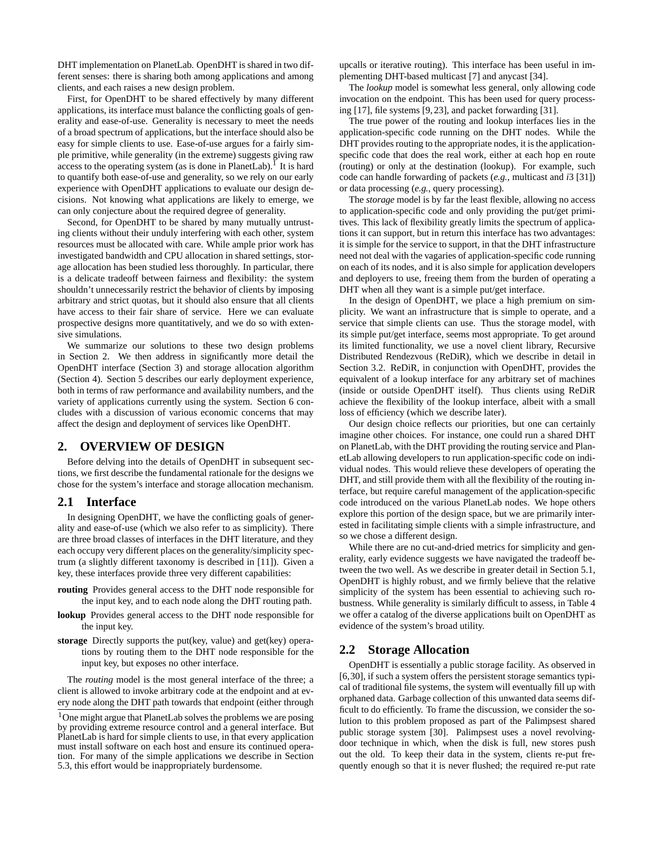DHT implementation on PlanetLab. OpenDHT is shared in two different senses: there is sharing both among applications and among clients, and each raises a new design problem.

First, for OpenDHT to be shared effectively by many different applications, its interface must balance the conflicting goals of generality and ease-of-use. Generality is necessary to meet the needs of a broad spectrum of applications, but the interface should also be easy for simple clients to use. Ease-of-use argues for a fairly simple primitive, while generality (in the extreme) suggests giving raw access to the operating system (as is done in PlanetLab).<sup>I</sup> It is hard to quantify both ease-of-use and generality, so we rely on our early experience with OpenDHT applications to evaluate our design decisions. Not knowing what applications are likely to emerge, we can only conjecture about the required degree of generality.

Second, for OpenDHT to be shared by many mutually untrusting clients without their unduly interfering with each other, system resources must be allocated with care. While ample prior work has investigated bandwidth and CPU allocation in shared settings, storage allocation has been studied less thoroughly. In particular, there is a delicate tradeoff between fairness and flexibility: the system shouldn't unnecessarily restrict the behavior of clients by imposing arbitrary and strict quotas, but it should also ensure that all clients have access to their fair share of service. Here we can evaluate prospective designs more quantitatively, and we do so with extensive simulations.

We summarize our solutions to these two design problems in Section 2. We then address in significantly more detail the OpenDHT interface (Section 3) and storage allocation algorithm (Section 4). Section 5 describes our early deployment experience, both in terms of raw performance and availability numbers, and the variety of applications currently using the system. Section 6 concludes with a discussion of various economic concerns that may affect the design and deployment of services like OpenDHT.

# **2. OVERVIEW OF DESIGN**

Before delving into the details of OpenDHT in subsequent sections, we first describe the fundamental rationale for the designs we chose for the system's interface and storage allocation mechanism.

#### **2.1 Interface**

In designing OpenDHT, we have the conflicting goals of generality and ease-of-use (which we also refer to as simplicity). There are three broad classes of interfaces in the DHT literature, and they each occupy very different places on the generality/simplicity spectrum (a slightly different taxonomy is described in [11]). Given a key, these interfaces provide three very different capabilities:

- **routing** Provides general access to the DHT node responsible for the input key, and to each node along the DHT routing path.
- **lookup** Provides general access to the DHT node responsible for the input key.
- **storage** Directly supports the put(key, value) and get(key) operations by routing them to the DHT node responsible for the input key, but exposes no other interface.

The *routing* model is the most general interface of the three; a client is allowed to invoke arbitrary code at the endpoint and at every node along the DHT path towards that endpoint (either through

upcalls or iterative routing). This interface has been useful in implementing DHT-based multicast [7] and anycast [34].

The *lookup* model is somewhat less general, only allowing code invocation on the endpoint. This has been used for query processing [17], file systems [9, 23], and packet forwarding [31].

The true power of the routing and lookup interfaces lies in the application-specific code running on the DHT nodes. While the DHT provides routing to the appropriate nodes, it is the applicationspecific code that does the real work, either at each hop en route (routing) or only at the destination (lookup). For example, such code can handle forwarding of packets (*e.g.*, multicast and *i*3 [31]) or data processing (*e.g.*, query processing).

The *storage* model is by far the least flexible, allowing no access to application-specific code and only providing the put/get primitives. This lack of flexibility greatly limits the spectrum of applications it can support, but in return this interface has two advantages: it is simple for the service to support, in that the DHT infrastructure need not deal with the vagaries of application-specific code running on each of its nodes, and it is also simple for application developers and deployers to use, freeing them from the burden of operating a DHT when all they want is a simple put/get interface.

In the design of OpenDHT, we place a high premium on simplicity. We want an infrastructure that is simple to operate, and a service that simple clients can use. Thus the storage model, with its simple put/get interface, seems most appropriate. To get around its limited functionality, we use a novel client library, Recursive Distributed Rendezvous (ReDiR), which we describe in detail in Section 3.2. ReDiR, in conjunction with OpenDHT, provides the equivalent of a lookup interface for any arbitrary set of machines (inside or outside OpenDHT itself). Thus clients using ReDiR achieve the flexibility of the lookup interface, albeit with a small loss of efficiency (which we describe later).

Our design choice reflects our priorities, but one can certainly imagine other choices. For instance, one could run a shared DHT on PlanetLab, with the DHT providing the routing service and PlanetLab allowing developers to run application-specific code on individual nodes. This would relieve these developers of operating the DHT, and still provide them with all the flexibility of the routing interface, but require careful management of the application-specific code introduced on the various PlanetLab nodes. We hope others explore this portion of the design space, but we are primarily interested in facilitating simple clients with a simple infrastructure, and so we chose a different design.

While there are no cut-and-dried metrics for simplicity and generality, early evidence suggests we have navigated the tradeoff between the two well. As we describe in greater detail in Section 5.1, OpenDHT is highly robust, and we firmly believe that the relative simplicity of the system has been essential to achieving such robustness. While generality is similarly difficult to assess, in Table 4 we offer a catalog of the diverse applications built on OpenDHT as evidence of the system's broad utility.

#### **2.2 Storage Allocation**

OpenDHT is essentially a public storage facility. As observed in [6,30], if such a system offers the persistent storage semantics typical of traditional file systems, the system will eventually fill up with orphaned data. Garbage collection of this unwanted data seems difficult to do efficiently. To frame the discussion, we consider the solution to this problem proposed as part of the Palimpsest shared public storage system [30]. Palimpsest uses a novel revolvingdoor technique in which, when the disk is full, new stores push out the old. To keep their data in the system, clients re-put frequently enough so that it is never flushed; the required re-put rate

<sup>1</sup>One might argue that PlanetLab solves the problems we are posing by providing extreme resource control and a general interface. But PlanetLab is hard for simple clients to use, in that every application must install software on each host and ensure its continued operation. For many of the simple applications we describe in Section 5.3, this effort would be inappropriately burdensome.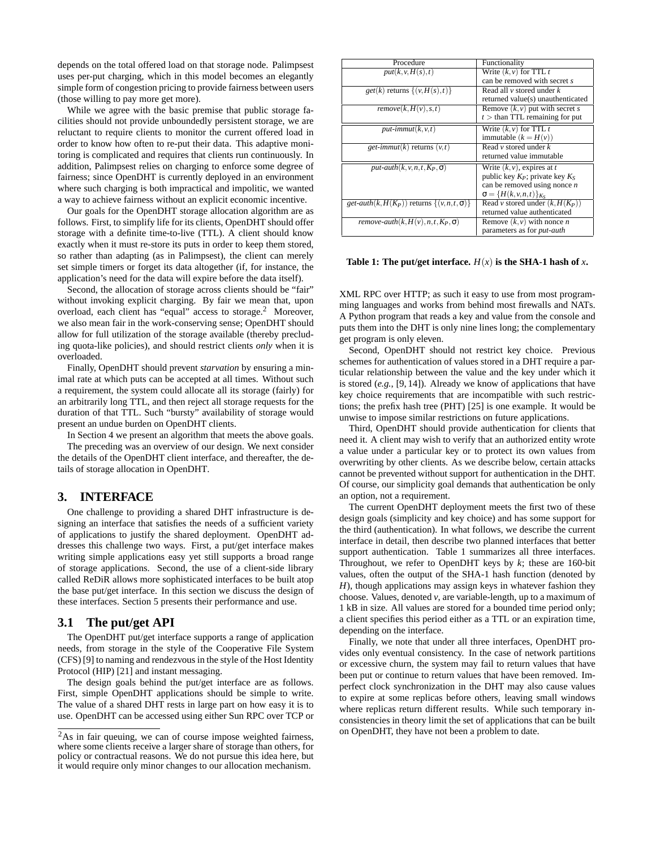depends on the total offered load on that storage node. Palimpsest uses per-put charging, which in this model becomes an elegantly simple form of congestion pricing to provide fairness between users (those willing to pay more get more).

While we agree with the basic premise that public storage facilities should not provide unboundedly persistent storage, we are reluctant to require clients to monitor the current offered load in order to know how often to re-put their data. This adaptive monitoring is complicated and requires that clients run continuously. In addition, Palimpsest relies on charging to enforce some degree of fairness; since OpenDHT is currently deployed in an environment where such charging is both impractical and impolitic, we wanted a way to achieve fairness without an explicit economic incentive.

Our goals for the OpenDHT storage allocation algorithm are as follows. First, to simplify life for its clients, OpenDHT should offer storage with a definite time-to-live (TTL). A client should know exactly when it must re-store its puts in order to keep them stored, so rather than adapting (as in Palimpsest), the client can merely set simple timers or forget its data altogether (if, for instance, the application's need for the data will expire before the data itself).

Second, the allocation of storage across clients should be "fair" without invoking explicit charging. By fair we mean that, upon overload, each client has "equal" access to storage.<sup>2</sup> Moreover, we also mean fair in the work-conserving sense; OpenDHT should allow for full utilization of the storage available (thereby precluding quota-like policies), and should restrict clients *only* when it is overloaded.

Finally, OpenDHT should prevent *starvation* by ensuring a minimal rate at which puts can be accepted at all times. Without such a requirement, the system could allocate all its storage (fairly) for an arbitrarily long TTL, and then reject all storage requests for the duration of that TTL. Such "bursty" availability of storage would present an undue burden on OpenDHT clients.

In Section 4 we present an algorithm that meets the above goals.

The preceding was an overview of our design. We next consider the details of the OpenDHT client interface, and thereafter, the details of storage allocation in OpenDHT.

## **3. INTERFACE**

One challenge to providing a shared DHT infrastructure is designing an interface that satisfies the needs of a sufficient variety of applications to justify the shared deployment. OpenDHT addresses this challenge two ways. First, a put/get interface makes writing simple applications easy yet still supports a broad range of storage applications. Second, the use of a client-side library called ReDiR allows more sophisticated interfaces to be built atop the base put/get interface. In this section we discuss the design of these interfaces. Section 5 presents their performance and use.

#### **3.1 The put/get API**

The OpenDHT put/get interface supports a range of application needs, from storage in the style of the Cooperative File System (CFS) [9] to naming and rendezvous in the style of the Host Identity Protocol (HIP) [21] and instant messaging.

The design goals behind the put/get interface are as follows. First, simple OpenDHT applications should be simple to write. The value of a shared DHT rests in large part on how easy it is to use. OpenDHT can be accessed using either Sun RPC over TCP or

| Functionality                        |
|--------------------------------------|
| Write $(k, v)$ for TTL t             |
| can be removed with secret s         |
| Read all $\nu$ stored under $k$      |
| returned value(s) unauthenticated    |
| Remove $(k, v)$ put with secret s    |
| $t >$ than TTL remaining for put     |
| Write $(k, v)$ for TTL t             |
| immutable $(k = H(v))$               |
| Read $\nu$ stored under $k$          |
| returned value immutable             |
| Write $(k, v)$ , expires at t        |
| public key $K_P$ ; private key $K_S$ |
| can be removed using nonce $n$       |
| $\sigma = \{H(k, v, n, t)\}_{K_{S}}$ |
| Read v stored under $(k, H(K_P))$    |
| returned value authenticated         |
| Remove $(k, v)$ with nonce <i>n</i>  |
| parameters as for <i>put-auth</i>    |
|                                      |

#### **Table 1: The put/get interface.**  $H(x)$  is the SHA-1 hash of  $x$ **.**

XML RPC over HTTP; as such it easy to use from most programming languages and works from behind most firewalls and NATs. A Python program that reads a key and value from the console and puts them into the DHT is only nine lines long; the complementary get program is only eleven.

Second, OpenDHT should not restrict key choice. Previous schemes for authentication of values stored in a DHT require a particular relationship between the value and the key under which it is stored (*e.g.*, [9, 14]). Already we know of applications that have key choice requirements that are incompatible with such restrictions; the prefix hash tree (PHT) [25] is one example. It would be unwise to impose similar restrictions on future applications.

Third, OpenDHT should provide authentication for clients that need it. A client may wish to verify that an authorized entity wrote a value under a particular key or to protect its own values from overwriting by other clients. As we describe below, certain attacks cannot be prevented without support for authentication in the DHT. Of course, our simplicity goal demands that authentication be only an option, not a requirement.

The current OpenDHT deployment meets the first two of these design goals (simplicity and key choice) and has some support for the third (authentication). In what follows, we describe the current interface in detail, then describe two planned interfaces that better support authentication. Table 1 summarizes all three interfaces. Throughout, we refer to OpenDHT keys by *k*; these are 160-bit values, often the output of the SHA-1 hash function (denoted by *H*), though applications may assign keys in whatever fashion they choose. Values, denoted *v*, are variable-length, up to a maximum of 1 kB in size. All values are stored for a bounded time period only; a client specifies this period either as a TTL or an expiration time, depending on the interface.

Finally, we note that under all three interfaces, OpenDHT provides only eventual consistency. In the case of network partitions or excessive churn, the system may fail to return values that have been put or continue to return values that have been removed. Imperfect clock synchronization in the DHT may also cause values to expire at some replicas before others, leaving small windows where replicas return different results. While such temporary inconsistencies in theory limit the set of applications that can be built on OpenDHT, they have not been a problem to date.

<sup>&</sup>lt;sup>2</sup>As in fair queuing, we can of course impose weighted fairness, where some clients receive a larger share of storage than others, for policy or contractual reasons. We do not pursue this idea here, but it would require only minor changes to our allocation mechanism.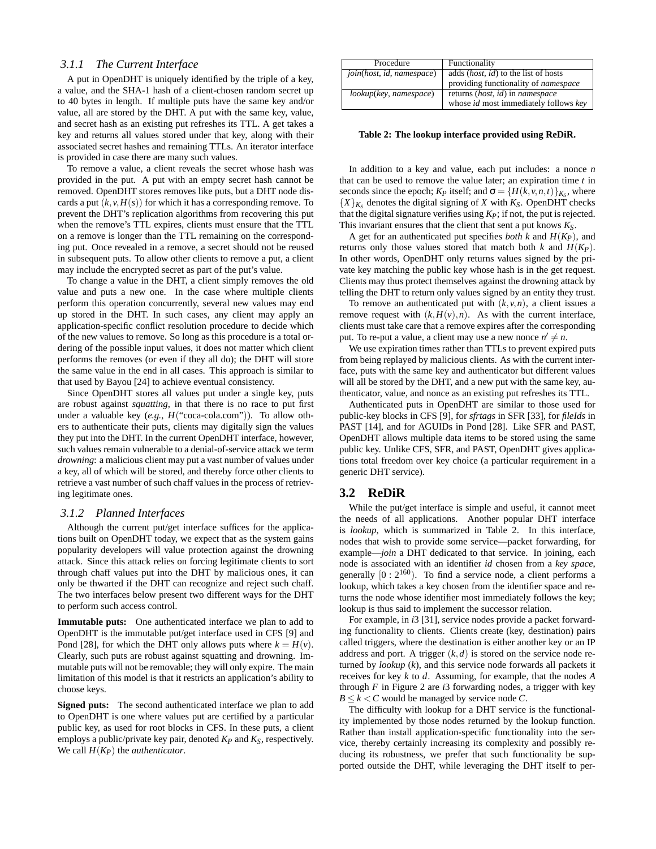#### *3.1.1 The Current Interface*

A put in OpenDHT is uniquely identified by the triple of a key, a value, and the SHA-1 hash of a client-chosen random secret up to 40 bytes in length. If multiple puts have the same key and/or value, all are stored by the DHT. A put with the same key, value, and secret hash as an existing put refreshes its TTL. A get takes a key and returns all values stored under that key, along with their associated secret hashes and remaining TTLs. An iterator interface is provided in case there are many such values.

To remove a value, a client reveals the secret whose hash was provided in the put. A put with an empty secret hash cannot be removed. OpenDHT stores removes like puts, but a DHT node discards a put  $(k, v, H(s))$  for which it has a corresponding remove. To prevent the DHT's replication algorithms from recovering this put when the remove's TTL expires, clients must ensure that the TTL on a remove is longer than the TTL remaining on the corresponding put. Once revealed in a remove, a secret should not be reused in subsequent puts. To allow other clients to remove a put, a client may include the encrypted secret as part of the put's value.

To change a value in the DHT, a client simply removes the old value and puts a new one. In the case where multiple clients perform this operation concurrently, several new values may end up stored in the DHT. In such cases, any client may apply an application-specific conflict resolution procedure to decide which of the new values to remove. So long as this procedure is a total ordering of the possible input values, it does not matter which client performs the removes (or even if they all do); the DHT will store the same value in the end in all cases. This approach is similar to that used by Bayou [24] to achieve eventual consistency.

Since OpenDHT stores all values put under a single key, puts are robust against *squatting*, in that there is no race to put first under a valuable key (*e.g.*, *H*("coca-cola.com")). To allow others to authenticate their puts, clients may digitally sign the values they put into the DHT. In the current OpenDHT interface, however, such values remain vulnerable to a denial-of-service attack we term *drowning*: a malicious client may put a vast number of values under a key, all of which will be stored, and thereby force other clients to retrieve a vast number of such chaff values in the process of retrieving legitimate ones.

#### *3.1.2 Planned Interfaces*

Although the current put/get interface suffices for the applications built on OpenDHT today, we expect that as the system gains popularity developers will value protection against the drowning attack. Since this attack relies on forcing legitimate clients to sort through chaff values put into the DHT by malicious ones, it can only be thwarted if the DHT can recognize and reject such chaff. The two interfaces below present two different ways for the DHT to perform such access control.

**Immutable puts:** One authenticated interface we plan to add to OpenDHT is the immutable put/get interface used in CFS [9] and Pond [28], for which the DHT only allows puts where  $k = H(v)$ . Clearly, such puts are robust against squatting and drowning. Immutable puts will not be removable; they will only expire. The main limitation of this model is that it restricts an application's ability to choose keys.

**Signed puts:** The second authenticated interface we plan to add to OpenDHT is one where values put are certified by a particular public key, as used for root blocks in CFS. In these puts, a client employs a public/private key pair, denoted  $K_P$  and  $K_S$ , respectively. We call  $H(K_P)$  the *authenticator*.

| Procedure                 | Functionality                                         |
|---------------------------|-------------------------------------------------------|
| join(host, id, namespace) | adds ( <i>host</i> , <i>id</i> ) to the list of hosts |
|                           | providing functionality of namespace                  |
| lookup(key, namespace)    | returns ( <i>host, id</i> ) in <i>namespace</i>       |
|                           | whose id most immediately follows key                 |

**Table 2: The lookup interface provided using ReDiR.**

In addition to a key and value, each put includes: a nonce *n* that can be used to remove the value later; an expiration time *t* in seconds since the epoch;  $K_P$  itself; and  $\sigma = \{H(k, v, n, t)\}_{K_S}$ , where  ${X}_{K_S}$  denotes the digital signing of *X* with  $K_S$ . OpenDHT checks that the digital signature verifies using *KP*; if not, the put is rejected. This invariant ensures that the client that sent a put knows *KS*.

A get for an authenticated put specifies *both*  $k$  and  $H(K_P)$ , and returns only those values stored that match both  $k$  and  $H(K_P)$ . In other words, OpenDHT only returns values signed by the private key matching the public key whose hash is in the get request. Clients may thus protect themselves against the drowning attack by telling the DHT to return only values signed by an entity they trust.

To remove an authenticated put with  $(k, v, n)$ , a client issues a remove request with  $(k, H(v), n)$ . As with the current interface, clients must take care that a remove expires after the corresponding put. To re-put a value, a client may use a new nonce  $n' \neq n$ .

We use expiration times rather than TTLs to prevent expired puts from being replayed by malicious clients. As with the current interface, puts with the same key and authenticator but different values will all be stored by the DHT, and a new put with the same key, authenticator, value, and nonce as an existing put refreshes its TTL.

Authenticated puts in OpenDHT are similar to those used for public-key blocks in CFS [9], for *sfrtags* in SFR [33], for *fileIds* in PAST [14], and for AGUIDs in Pond [28]. Like SFR and PAST, OpenDHT allows multiple data items to be stored using the same public key. Unlike CFS, SFR, and PAST, OpenDHT gives applications total freedom over key choice (a particular requirement in a generic DHT service).

# **3.2 ReDiR**

While the put/get interface is simple and useful, it cannot meet the needs of all applications. Another popular DHT interface is *lookup*, which is summarized in Table 2. In this interface, nodes that wish to provide some service—packet forwarding, for example—*join* a DHT dedicated to that service. In joining, each node is associated with an identifier *id* chosen from a *key space*, generally  $[0:2^{160})$ . To find a service node, a client performs a lookup, which takes a key chosen from the identifier space and returns the node whose identifier most immediately follows the key; lookup is thus said to implement the successor relation.

For example, in *i*3 [31], service nodes provide a packet forwarding functionality to clients. Clients create (key, destination) pairs called triggers, where the destination is either another key or an IP address and port. A trigger  $(k, d)$  is stored on the service node returned by *lookup* (*k*), and this service node forwards all packets it receives for key *k* to *d*. Assuming, for example, that the nodes *A* through *F* in Figure 2 are *i*3 forwarding nodes, a trigger with key  $B \leq k < C$  would be managed by service node *C*.

The difficulty with lookup for a DHT service is the functionality implemented by those nodes returned by the lookup function. Rather than install application-specific functionality into the service, thereby certainly increasing its complexity and possibly reducing its robustness, we prefer that such functionality be supported outside the DHT, while leveraging the DHT itself to per-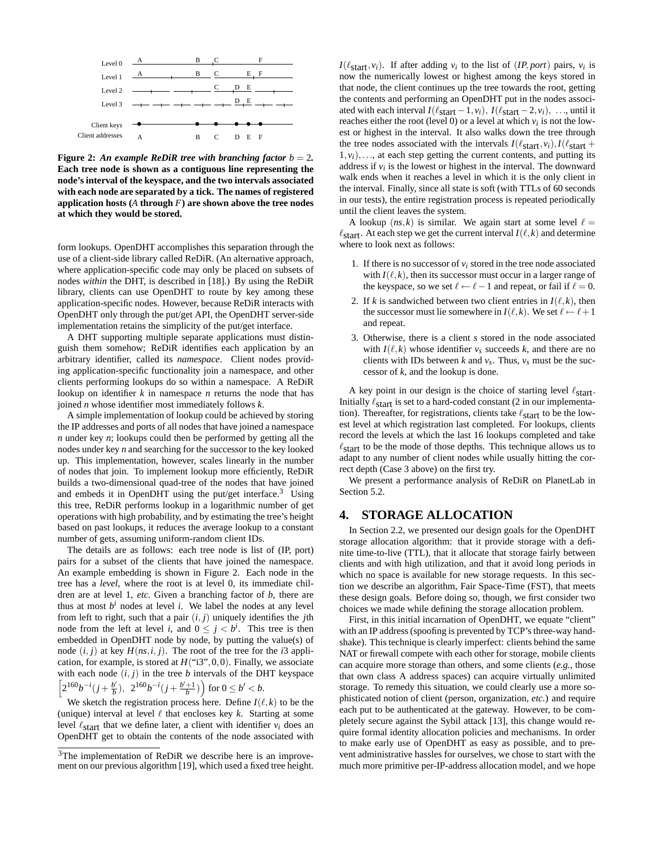

**Figure 2:** An example ReDiR tree with branching factor  $b = 2$ . **Each tree node is shown as a contiguous line representing the node's interval of the keyspace, and the two intervals associated with each node are separated by a tick. The names of registered application hosts (***A* **through** *F***) are shown above the tree nodes at which they would be stored.**

form lookups. OpenDHT accomplishes this separation through the use of a client-side library called ReDiR. (An alternative approach, where application-specific code may only be placed on subsets of nodes *within* the DHT, is described in [18].) By using the ReDiR library, clients can use OpenDHT to route by key among these application-specific nodes. However, because ReDiR interacts with OpenDHT only through the put/get API, the OpenDHT server-side implementation retains the simplicity of the put/get interface.

A DHT supporting multiple separate applications must distinguish them somehow; ReDiR identifies each application by an arbitrary identifier, called its *namespace*. Client nodes providing application-specific functionality join a namespace, and other clients performing lookups do so within a namespace. A ReDiR lookup on identifier *k* in namespace *n* returns the node that has joined *n* whose identifier most immediately follows *k*.

A simple implementation of lookup could be achieved by storing the IP addresses and ports of all nodes that have joined a namespace *n* under key *n*; lookups could then be performed by getting all the nodes under key *n* and searching for the successor to the key looked up. This implementation, however, scales linearly in the number of nodes that join. To implement lookup more efficiently, ReDiR builds a two-dimensional quad-tree of the nodes that have joined and embeds it in OpenDHT using the put/get interface.<sup>3</sup> Using this tree, ReDiR performs lookup in a logarithmic number of get operations with high probability, and by estimating the tree's height based on past lookups, it reduces the average lookup to a constant number of gets, assuming uniform-random client IDs.

The details are as follows: each tree node is list of (IP, port) pairs for a subset of the clients that have joined the namespace. An example embedding is shown in Figure 2. Each node in the tree has a *level*, where the root is at level 0, its immediate children are at level 1, *etc.* Given a branching factor of *b*, there are thus at most  $b^i$  nodes at level *i*. We label the nodes at any level from left to right, such that a pair  $(i, j)$  uniquely identifies the *j*th node from the left at level *i*, and  $0 \le j < b^i$ . This tree is then embedded in OpenDHT node by node, by putting the value(s) of node  $(i, j)$  at key  $H(ns, i, j)$ . The root of the tree for the *i*3 application, for example, is stored at  $H("i3",0,0)$ . Finally, we associate with each node  $(i, j)$  in the tree  $b$  intervals of the DHT keyspace  $\left[2^{160}b^{-i}(j+\frac{b'}{b}), 2^{160}b^{-i}(j+\frac{b'+1}{b})\right]$  for  $0 \le b' < b$ .

We sketch the registration process here. Define  $I(\ell, k)$  to be the (unique) interval at level  $\ell$  that encloses key  $k$ . Starting at some level  $\ell_{\text{start}}$  that we define later, a client with identifier  $v_i$  does an OpenDHT get to obtain the contents of the node associated with

 $I(\ell_{start}, v_i)$ . If after adding  $v_i$  to the list of (*IP*, *port*) pairs,  $v_i$  is now the numerically lowest or highest among the keys stored in that node, the client continues up the tree towards the root, getting the contents and performing an OpenDHT put in the nodes associated with each interval  $I(\ell_{start} - 1, v_i)$ ,  $I(\ell_{start} - 2, v_i)$ , ..., until it reaches either the root (level 0) or a level at which  $v_i$  is not the lowest or highest in the interval. It also walks down the tree through the tree nodes associated with the intervals  $I(\ell_{start}, v_i)$ ,  $I(\ell_{start} +$  $1, v_i$ ,..., at each step getting the current contents, and putting its address if  $v_i$  is the lowest or highest in the interval. The downward walk ends when it reaches a level in which it is the only client in the interval. Finally, since all state is soft (with TTLs of 60 seconds in our tests), the entire registration process is repeated periodically until the client leaves the system.

A lookup  $(ns, k)$  is similar. We again start at some level  $\ell =$  $\ell_{\text{start}}$ . At each step we get the current interval *I*( $\ell, k$ ) and determine where to look next as follows:

- 1. If there is no successor of  $v_i$  stored in the tree node associated with  $I(\ell, k)$ , then its successor must occur in a larger range of the keyspace, so we set  $\ell \leftarrow \ell - 1$  and repeat, or fail if  $\ell = 0$ .
- 2. If *k* is sandwiched between two client entries in  $I(\ell, k)$ , then the successor must lie somewhere in  $I(\ell, k)$ . We set  $\ell \leftarrow \ell + 1$ and repeat.
- 3. Otherwise, there is a client *s* stored in the node associated with  $I(\ell, k)$  whose identifier  $v_s$  succeeds  $k$ , and there are no clients with IDs between *k* and  $v_s$ . Thus,  $v_s$  must be the successor of *k*, and the lookup is done.

A key point in our design is the choice of starting level  $\ell_{\text{start}}$ . Initially  $\ell_{\text{start}}$  is set to a hard-coded constant (2 in our implementation). Thereafter, for registrations, clients take  $\ell_{start}$  to be the lowest level at which registration last completed. For lookups, clients record the levels at which the last 16 lookups completed and take  $\ell_{\text{start}}$  to be the mode of those depths. This technique allows us to adapt to any number of client nodes while usually hitting the correct depth (Case 3 above) on the first try.

We present a performance analysis of ReDiR on PlanetLab in Section 5.2.

# **4. STORAGE ALLOCATION**

In Section 2.2, we presented our design goals for the OpenDHT storage allocation algorithm: that it provide storage with a definite time-to-live (TTL), that it allocate that storage fairly between clients and with high utilization, and that it avoid long periods in which no space is available for new storage requests. In this section we describe an algorithm, Fair Space-Time (FST), that meets these design goals. Before doing so, though, we first consider two choices we made while defining the storage allocation problem.

First, in this initial incarnation of OpenDHT, we equate "client" with an IP address (spoofing is prevented by TCP's three-way handshake). This technique is clearly imperfect: clients behind the same NAT or firewall compete with each other for storage, mobile clients can acquire more storage than others, and some clients (*e.g.*, those that own class A address spaces) can acquire virtually unlimited storage. To remedy this situation, we could clearly use a more sophisticated notion of client (person, organization, *etc.*) and require each put to be authenticated at the gateway. However, to be completely secure against the Sybil attack [13], this change would require formal identity allocation policies and mechanisms. In order to make early use of OpenDHT as easy as possible, and to prevent administrative hassles for ourselves, we chose to start with the much more primitive per-IP-address allocation model, and we hope

<sup>&</sup>lt;sup>3</sup>The implementation of ReDiR we describe here is an improvement on our previous algorithm [19], which used a fixed tree height.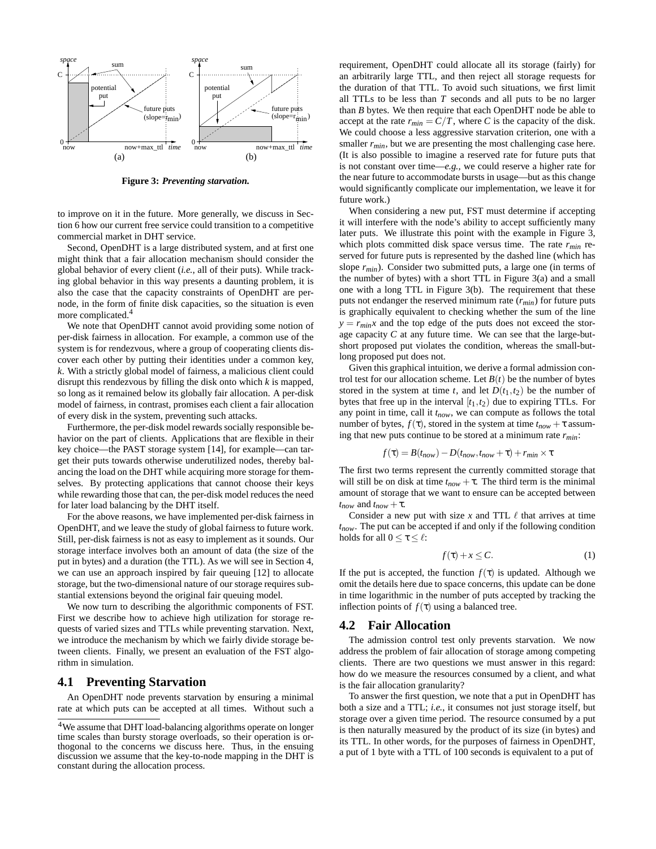

**Figure 3:** *Preventing starvation.*

to improve on it in the future. More generally, we discuss in Section 6 how our current free service could transition to a competitive commercial market in DHT service.

Second, OpenDHT is a large distributed system, and at first one might think that a fair allocation mechanism should consider the global behavior of every client (*i.e.*, all of their puts). While tracking global behavior in this way presents a daunting problem, it is also the case that the capacity constraints of OpenDHT are pernode, in the form of finite disk capacities, so the situation is even more complicated.<sup>4</sup>

We note that OpenDHT cannot avoid providing some notion of per-disk fairness in allocation. For example, a common use of the system is for rendezvous, where a group of cooperating clients discover each other by putting their identities under a common key, *k*. With a strictly global model of fairness, a malicious client could disrupt this rendezvous by filling the disk onto which *k* is mapped, so long as it remained below its globally fair allocation. A per-disk model of fairness, in contrast, promises each client a fair allocation of every disk in the system, preventing such attacks.

Furthermore, the per-disk model rewards socially responsible behavior on the part of clients. Applications that are flexible in their key choice—the PAST storage system [14], for example—can target their puts towards otherwise underutilized nodes, thereby balancing the load on the DHT while acquiring more storage for themselves. By protecting applications that cannot choose their keys while rewarding those that can, the per-disk model reduces the need for later load balancing by the DHT itself.

For the above reasons, we have implemented per-disk fairness in OpenDHT, and we leave the study of global fairness to future work. Still, per-disk fairness is not as easy to implement as it sounds. Our storage interface involves both an amount of data (the size of the put in bytes) and a duration (the TTL). As we will see in Section 4, we can use an approach inspired by fair queuing [12] to allocate storage, but the two-dimensional nature of our storage requires substantial extensions beyond the original fair queuing model.

We now turn to describing the algorithmic components of FST. First we describe how to achieve high utilization for storage requests of varied sizes and TTLs while preventing starvation. Next, we introduce the mechanism by which we fairly divide storage between clients. Finally, we present an evaluation of the FST algorithm in simulation.

## **4.1 Preventing Starvation**

An OpenDHT node prevents starvation by ensuring a minimal rate at which puts can be accepted at all times. Without such a requirement, OpenDHT could allocate all its storage (fairly) for an arbitrarily large TTL, and then reject all storage requests for the duration of that TTL. To avoid such situations, we first limit all TTLs to be less than *T* seconds and all puts to be no larger than *B* bytes. We then require that each OpenDHT node be able to accept at the rate  $r_{min} = C/T$ , where *C* is the capacity of the disk. We could choose a less aggressive starvation criterion, one with a smaller  $r_{min}$ , but we are presenting the most challenging case here. (It is also possible to imagine a reserved rate for future puts that is not constant over time—*e.g.,* we could reserve a higher rate for the near future to accommodate bursts in usage—but as this change would significantly complicate our implementation, we leave it for future work.)

When considering a new put, FST must determine if accepting it will interfere with the node's ability to accept sufficiently many later puts. We illustrate this point with the example in Figure 3, which plots committed disk space versus time. The rate *rmin* reserved for future puts is represented by the dashed line (which has slope *rmin*). Consider two submitted puts, a large one (in terms of the number of bytes) with a short TTL in Figure 3(a) and a small one with a long TTL in Figure 3(b). The requirement that these puts not endanger the reserved minimum rate (*rmin*) for future puts is graphically equivalent to checking whether the sum of the line  $y = r_{min}x$  and the top edge of the puts does not exceed the storage capacity *C* at any future time. We can see that the large-butshort proposed put violates the condition, whereas the small-butlong proposed put does not.

Given this graphical intuition, we derive a formal admission control test for our allocation scheme. Let  $B(t)$  be the number of bytes stored in the system at time *t*, and let  $D(t_1, t_2)$  be the number of bytes that free up in the interval  $[t_1, t_2)$  due to expiring TTLs. For any point in time, call it *tnow*, we can compute as follows the total number of bytes,  $f(\tau)$ , stored in the system at time  $t_{now} + \tau$  assuming that new puts continue to be stored at a minimum rate *rmin*:

$$
f(\tau) = B(t_{now}) - D(t_{now}, t_{now} + \tau) + r_{min} \times \tau
$$

The first two terms represent the currently committed storage that will still be on disk at time  $t_{now} + \tau$ . The third term is the minimal amount of storage that we want to ensure can be accepted between  $t_{now}$  and  $t_{now} + \tau$ .

Consider a new put with size  $x$  and TTL  $\ell$  that arrives at time *tnow*. The put can be accepted if and only if the following condition holds for all  $0 < \tau < \ell$ :

$$
f(\tau) + x \le C. \tag{1}
$$

If the put is accepted, the function  $f(\tau)$  is updated. Although we omit the details here due to space concerns, this update can be done in time logarithmic in the number of puts accepted by tracking the inflection points of  $f(\tau)$  using a balanced tree.

#### **4.2 Fair Allocation**

The admission control test only prevents starvation. We now address the problem of fair allocation of storage among competing clients. There are two questions we must answer in this regard: how do we measure the resources consumed by a client, and what is the fair allocation granularity?

To answer the first question, we note that a put in OpenDHT has both a size and a TTL; *i.e.*, it consumes not just storage itself, but storage over a given time period. The resource consumed by a put is then naturally measured by the product of its size (in bytes) and its TTL. In other words, for the purposes of fairness in OpenDHT, a put of 1 byte with a TTL of 100 seconds is equivalent to a put of

<sup>4</sup>We assume that DHT load-balancing algorithms operate on longer time scales than bursty storage overloads, so their operation is orthogonal to the concerns we discuss here. Thus, in the ensuing discussion we assume that the key-to-node mapping in the DHT is constant during the allocation process.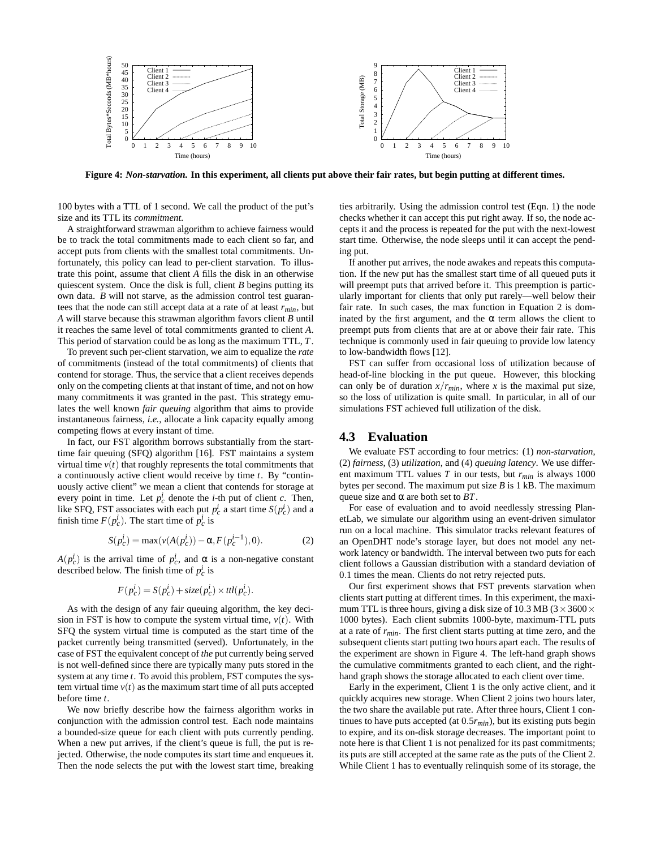

**Figure 4:** *Non-starvation.* **In this experiment, all clients put above their fair rates, but begin putting at different times.**

100 bytes with a TTL of 1 second. We call the product of the put's size and its TTL its *commitment*.

A straightforward strawman algorithm to achieve fairness would be to track the total commitments made to each client so far, and accept puts from clients with the smallest total commitments. Unfortunately, this policy can lead to per-client starvation. To illustrate this point, assume that client *A* fills the disk in an otherwise quiescent system. Once the disk is full, client *B* begins putting its own data. *B* will not starve, as the admission control test guarantees that the node can still accept data at a rate of at least *rmin*, but *A* will starve because this strawman algorithm favors client *B* until it reaches the same level of total commitments granted to client *A*. This period of starvation could be as long as the maximum TTL, *T*.

To prevent such per-client starvation, we aim to equalize the *rate* of commitments (instead of the total commitments) of clients that contend for storage. Thus, the service that a client receives depends only on the competing clients at that instant of time, and not on how many commitments it was granted in the past. This strategy emulates the well known *fair queuing* algorithm that aims to provide instantaneous fairness, *i.e.*, allocate a link capacity equally among competing flows at every instant of time.

In fact, our FST algorithm borrows substantially from the starttime fair queuing (SFQ) algorithm [16]. FST maintains a system virtual time  $v(t)$  that roughly represents the total commitments that a continuously active client would receive by time *t*. By "continuously active client" we mean a client that contends for storage at every point in time. Let  $p_c^i$  denote the *i*-th put of client *c*. Then, like SFQ, FST associates with each put  $p_c^i$  a start time  $S(p_c^i)$  and a finish time  $F(p_c^i)$ . The start time of  $p_c^i$  is

$$
S(p_c^i) = \max(v(A(p_c^i)) - \alpha, F(p_c^{i-1}), 0).
$$
 (2)

*A*( $p_c^i$ ) is the arrival time of  $p_c^i$ , and  $\alpha$  is a non-negative constant described below. The finish time of  $p_c^i$  is

$$
F(p_c^i) = S(p_c^i) + size(p_c^i) \times \text{trl}(p_c^i).
$$

As with the design of any fair queuing algorithm, the key decision in FST is how to compute the system virtual time,  $v(t)$ . With SFQ the system virtual time is computed as the start time of the packet currently being transmitted (served). Unfortunately, in the case of FST the equivalent concept of *the* put currently being served is not well-defined since there are typically many puts stored in the system at any time *t*. To avoid this problem, FST computes the system virtual time  $v(t)$  as the maximum start time of all puts accepted before time *t*.

We now briefly describe how the fairness algorithm works in conjunction with the admission control test. Each node maintains a bounded-size queue for each client with puts currently pending. When a new put arrives, if the client's queue is full, the put is rejected. Otherwise, the node computes its start time and enqueues it. Then the node selects the put with the lowest start time, breaking ties arbitrarily. Using the admission control test (Eqn. 1) the node checks whether it can accept this put right away. If so, the node accepts it and the process is repeated for the put with the next-lowest start time. Otherwise, the node sleeps until it can accept the pending put.

If another put arrives, the node awakes and repeats this computation. If the new put has the smallest start time of all queued puts it will preempt puts that arrived before it. This preemption is particularly important for clients that only put rarely—well below their fair rate. In such cases, the max function in Equation 2 is dominated by the first argument, and the  $\alpha$  term allows the client to preempt puts from clients that are at or above their fair rate. This technique is commonly used in fair queuing to provide low latency to low-bandwidth flows [12].

FST can suffer from occasional loss of utilization because of head-of-line blocking in the put queue. However, this blocking can only be of duration  $x/r_{min}$ , where *x* is the maximal put size, so the loss of utilization is quite small. In particular, in all of our simulations FST achieved full utilization of the disk.

#### **4.3 Evaluation**

We evaluate FST according to four metrics: (1) *non-starvation*, (2) *fairness*, (3) *utilization*, and (4) *queuing latency*. We use different maximum TTL values *T* in our tests, but *rmin* is always 1000 bytes per second. The maximum put size *B* is 1 kB. The maximum queue size and  $\alpha$  are both set to *BT*.

For ease of evaluation and to avoid needlessly stressing PlanetLab, we simulate our algorithm using an event-driven simulator run on a local machine. This simulator tracks relevant features of an OpenDHT node's storage layer, but does not model any network latency or bandwidth. The interval between two puts for each client follows a Gaussian distribution with a standard deviation of 0.1 times the mean. Clients do not retry rejected puts.

Our first experiment shows that FST prevents starvation when clients start putting at different times. In this experiment, the maximum TTL is three hours, giving a disk size of 10.3 MB ( $3 \times 3600 \times$ 1000 bytes). Each client submits 1000-byte, maximum-TTL puts at a rate of *rmin*. The first client starts putting at time zero, and the subsequent clients start putting two hours apart each. The results of the experiment are shown in Figure 4. The left-hand graph shows the cumulative commitments granted to each client, and the righthand graph shows the storage allocated to each client over time.

Early in the experiment, Client 1 is the only active client, and it quickly acquires new storage. When Client 2 joins two hours later, the two share the available put rate. After three hours, Client 1 continues to have puts accepted (at 0.5*rmin*), but its existing puts begin to expire, and its on-disk storage decreases. The important point to note here is that Client 1 is not penalized for its past commitments; its puts are still accepted at the same rate as the puts of the Client 2. While Client 1 has to eventually relinquish some of its storage, the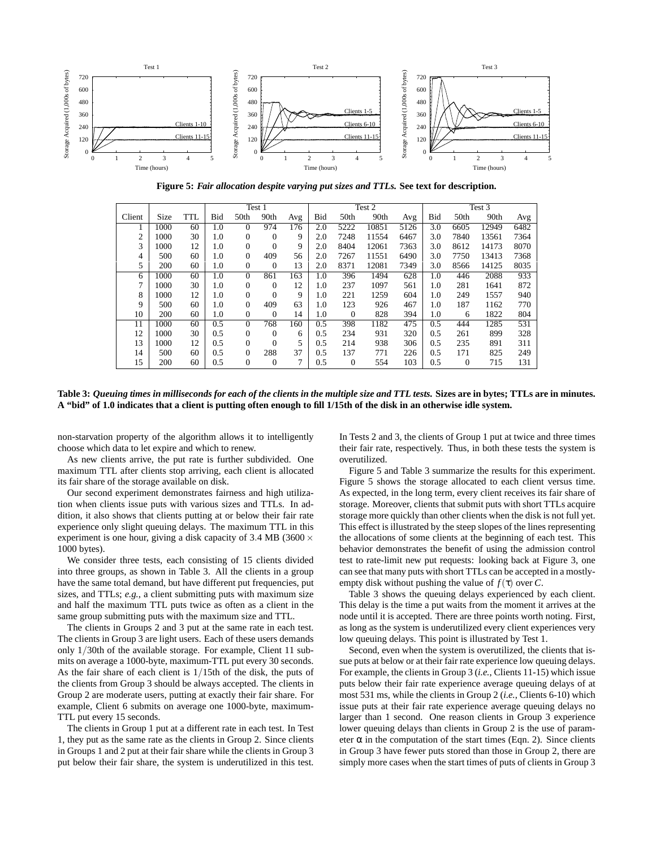

**Figure 5:** *Fair allocation despite varying put sizes and TTLs.* **See text for description.**

|                |      |     |     | Test 1         |                |     | Test 2 |              |       |      |     | Test 3 |       |      |
|----------------|------|-----|-----|----------------|----------------|-----|--------|--------------|-------|------|-----|--------|-------|------|
| Client         | Size | TTL | Bid | 50th           | 90th           | Avg | Bid    | 50th         | 90th  | Avg  | Bid | 50th   | 90th  | Avg  |
|                | 1000 | 60  | 1.0 | $\Omega$       | 974            | 176 | 2.0    | 5222         | 10851 | 5126 | 3.0 | 6605   | 12949 | 6482 |
| $\overline{2}$ | 1000 | 30  | 1.0 | 0              | $\Omega$       | 9   | 2.0    | 7248         | 11554 | 6467 | 3.0 | 7840   | 13561 | 7364 |
| 3              | 1000 | 12  | 1.0 | 0              | $\overline{0}$ | 9   | 2.0    | 8404         | 12061 | 7363 | 3.0 | 8612   | 14173 | 8070 |
| 4              | 500  | 60  | 1.0 | $\Omega$       | 409            | 56  | 2.0    | 7267         | 11551 | 6490 | 3.0 | 7750   | 13413 | 7368 |
| 5              | 200  | 60  | 1.0 | $\mathbf{0}$   | $\overline{0}$ | 13  | 2.0    | 8371         | 12081 | 7349 | 3.0 | 8566   | 14125 | 8035 |
| 6              | 1000 | 60  | 1.0 | $\Omega$       | 861            | 163 | 1.0    | 396          | 1494  | 628  | 1.0 | 446    | 2088  | 933  |
| 7              | 1000 | 30  | 1.0 | 0              | $\overline{0}$ | 12  | 1.0    | 237          | 1097  | 561  | 1.0 | 281    | 1641  | 872  |
| 8              | 1000 | 12  | 1.0 | 0              | $\overline{0}$ | 9   | 1.0    | 221          | 1259  | 604  | 1.0 | 249    | 1557  | 940  |
| 9              | 500  | 60  | 1.0 | $\Omega$       | 409            | 63  | 1.0    | 123          | 926   | 467  | 1.0 | 187    | 1162  | 770  |
| 10             | 200  | 60  | 1.0 | $\mathbf{0}$   | $\Omega$       | 14  | 1.0    | $\mathbf{0}$ | 828   | 394  | 1.0 | 6      | 1822  | 804  |
| 11             | 1000 | 60  | 0.5 | $\Omega$       | 768            | 160 | 0.5    | 398          | 1182  | 475  | 0.5 | 444    | 1285  | 531  |
| 12             | 1000 | 30  | 0.5 | $\Omega$       | $\Omega$       | 6   | 0.5    | 234          | 931   | 320  | 0.5 | 261    | 899   | 328  |
| 13             | 1000 | 12  | 0.5 | $\theta$       | $\overline{0}$ | 5   | 0.5    | 214          | 938   | 306  | 0.5 | 235    | 891   | 311  |
| 14             | 500  | 60  | 0.5 | $\Omega$       | 288            | 37  | 0.5    | 137          | 771   | 226  | 0.5 | 171    | 825   | 249  |
| 15             | 200  | 60  | 0.5 | $\overline{0}$ | $\overline{0}$ | 7   | 0.5    | $\mathbf{0}$ | 554   | 103  | 0.5 | 0      | 715   | 131  |

**Table 3:** *Queuing times in milliseconds for each of the clients in the multiple size and TTL tests.* **Sizes are in bytes; TTLs are in minutes. A "bid" of 1.0 indicates that a client is putting often enough to fill 1/15th of the disk in an otherwise idle system.**

non-starvation property of the algorithm allows it to intelligently choose which data to let expire and which to renew.

As new clients arrive, the put rate is further subdivided. One maximum TTL after clients stop arriving, each client is allocated its fair share of the storage available on disk.

Our second experiment demonstrates fairness and high utilization when clients issue puts with various sizes and TTLs. In addition, it also shows that clients putting at or below their fair rate experience only slight queuing delays. The maximum TTL in this experiment is one hour, giving a disk capacity of 3.4 MB (3600  $\times$ 1000 bytes).

We consider three tests, each consisting of 15 clients divided into three groups, as shown in Table 3. All the clients in a group have the same total demand, but have different put frequencies, put sizes, and TTLs; *e.g.*, a client submitting puts with maximum size and half the maximum TTL puts twice as often as a client in the same group submitting puts with the maximum size and TTL.

The clients in Groups 2 and 3 put at the same rate in each test. The clients in Group 3 are light users. Each of these users demands only 1/30th of the available storage. For example, Client 11 submits on average a 1000-byte, maximum-TTL put every 30 seconds. As the fair share of each client is 1/15th of the disk, the puts of the clients from Group 3 should be always accepted. The clients in Group 2 are moderate users, putting at exactly their fair share. For example, Client 6 submits on average one 1000-byte, maximum-TTL put every 15 seconds.

The clients in Group 1 put at a different rate in each test. In Test 1, they put as the same rate as the clients in Group 2. Since clients in Groups 1 and 2 put at their fair share while the clients in Group 3 put below their fair share, the system is underutilized in this test.

In Tests 2 and 3, the clients of Group 1 put at twice and three times their fair rate, respectively. Thus, in both these tests the system is overutilized.

Figure 5 and Table 3 summarize the results for this experiment. Figure 5 shows the storage allocated to each client versus time. As expected, in the long term, every client receives its fair share of storage. Moreover, clients that submit puts with short TTLs acquire storage more quickly than other clients when the disk is not full yet. This effect is illustrated by the steep slopes of the lines representing the allocations of some clients at the beginning of each test. This behavior demonstrates the benefit of using the admission control test to rate-limit new put requests: looking back at Figure 3, one can see that many puts with short TTLs can be accepted in a mostlyempty disk without pushing the value of  $f(\tau)$  over *C*.

Table 3 shows the queuing delays experienced by each client. This delay is the time a put waits from the moment it arrives at the node until it is accepted. There are three points worth noting. First, as long as the system is underutilized every client experiences very low queuing delays. This point is illustrated by Test 1.

Second, even when the system is overutilized, the clients that issue puts at below or at their fair rate experience low queuing delays. For example, the clients in Group 3 (*i.e.*, Clients 11-15) which issue puts below their fair rate experience average queuing delays of at most 531 ms, while the clients in Group 2 (*i.e.*, Clients 6-10) which issue puts at their fair rate experience average queuing delays no larger than 1 second. One reason clients in Group 3 experience lower queuing delays than clients in Group 2 is the use of parameter  $\alpha$  in the computation of the start times (Eqn. 2). Since clients in Group 3 have fewer puts stored than those in Group 2, there are simply more cases when the start times of puts of clients in Group 3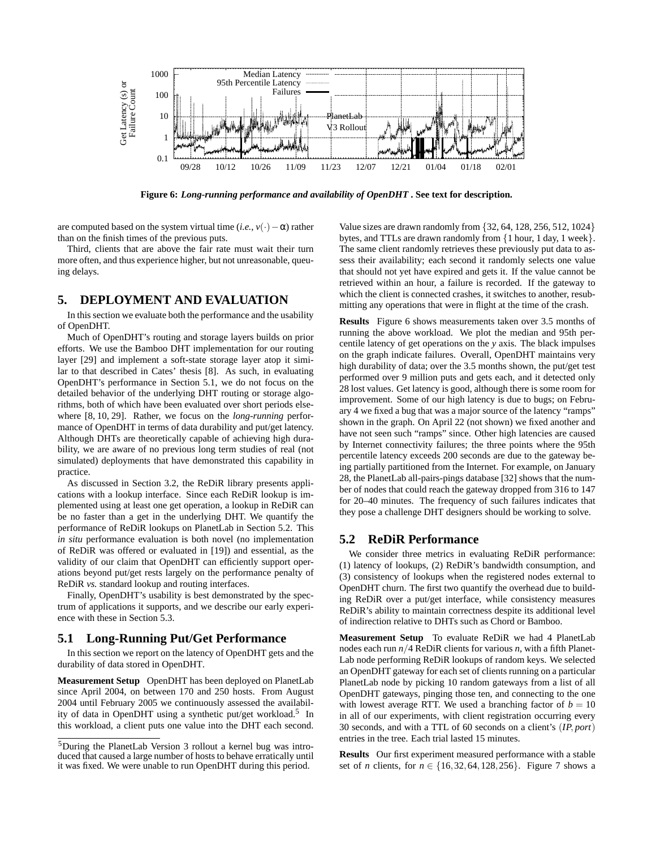

**Figure 6:** *Long-running performance and availability of OpenDHT* **. See text for description.**

are computed based on the system virtual time (*i.e.*,  $v(\cdot) - \alpha$ ) rather than on the finish times of the previous puts.

Third, clients that are above the fair rate must wait their turn more often, and thus experience higher, but not unreasonable, queuing delays.

# **5. DEPLOYMENT AND EVALUATION**

In this section we evaluate both the performance and the usability of OpenDHT.

Much of OpenDHT's routing and storage layers builds on prior efforts. We use the Bamboo DHT implementation for our routing layer [29] and implement a soft-state storage layer atop it similar to that described in Cates' thesis [8]. As such, in evaluating OpenDHT's performance in Section 5.1, we do not focus on the detailed behavior of the underlying DHT routing or storage algorithms, both of which have been evaluated over short periods elsewhere [8, 10, 29]. Rather, we focus on the *long-running* performance of OpenDHT in terms of data durability and put/get latency. Although DHTs are theoretically capable of achieving high durability, we are aware of no previous long term studies of real (not simulated) deployments that have demonstrated this capability in practice.

As discussed in Section 3.2, the ReDiR library presents applications with a lookup interface. Since each ReDiR lookup is implemented using at least one get operation, a lookup in ReDiR can be no faster than a get in the underlying DHT. We quantify the performance of ReDiR lookups on PlanetLab in Section 5.2. This *in situ* performance evaluation is both novel (no implementation of ReDiR was offered or evaluated in [19]) and essential, as the validity of our claim that OpenDHT can efficiently support operations beyond put/get rests largely on the performance penalty of ReDiR *vs.* standard lookup and routing interfaces.

Finally, OpenDHT's usability is best demonstrated by the spectrum of applications it supports, and we describe our early experience with these in Section 5.3.

#### **5.1 Long-Running Put/Get Performance**

In this section we report on the latency of OpenDHT gets and the durability of data stored in OpenDHT.

**Measurement Setup** OpenDHT has been deployed on PlanetLab since April 2004, on between 170 and 250 hosts. From August 2004 until February 2005 we continuously assessed the availability of data in OpenDHT using a synthetic put/get workload.<sup>5</sup> In this workload, a client puts one value into the DHT each second.

Value sizes are drawn randomly from {32, 64, 128, 256, 512, 1024} bytes, and TTLs are drawn randomly from {1 hour, 1 day, 1 week}. The same client randomly retrieves these previously put data to assess their availability; each second it randomly selects one value that should not yet have expired and gets it. If the value cannot be retrieved within an hour, a failure is recorded. If the gateway to which the client is connected crashes, it switches to another, resubmitting any operations that were in flight at the time of the crash.

**Results** Figure 6 shows measurements taken over 3.5 months of running the above workload. We plot the median and 95th percentile latency of get operations on the *y* axis. The black impulses on the graph indicate failures. Overall, OpenDHT maintains very high durability of data; over the 3.5 months shown, the put/get test performed over 9 million puts and gets each, and it detected only 28 lost values. Get latency is good, although there is some room for improvement. Some of our high latency is due to bugs; on February 4 we fixed a bug that was a major source of the latency "ramps" shown in the graph. On April 22 (not shown) we fixed another and have not seen such "ramps" since. Other high latencies are caused by Internet connectivity failures; the three points where the 95th percentile latency exceeds 200 seconds are due to the gateway being partially partitioned from the Internet. For example, on January 28, the PlanetLab all-pairs-pings database [32] shows that the number of nodes that could reach the gateway dropped from 316 to 147 for 20–40 minutes. The frequency of such failures indicates that they pose a challenge DHT designers should be working to solve.

#### **5.2 ReDiR Performance**

We consider three metrics in evaluating ReDiR performance: (1) latency of lookups, (2) ReDiR's bandwidth consumption, and (3) consistency of lookups when the registered nodes external to OpenDHT churn. The first two quantify the overhead due to building ReDiR over a put/get interface, while consistency measures ReDiR's ability to maintain correctness despite its additional level of indirection relative to DHTs such as Chord or Bamboo.

**Measurement Setup** To evaluate ReDiR we had 4 PlanetLab nodes each run *n*/4 ReDiR clients for various *n*, with a fifth Planet-Lab node performing ReDiR lookups of random keys. We selected an OpenDHT gateway for each set of clients running on a particular PlanetLab node by picking 10 random gateways from a list of all OpenDHT gateways, pinging those ten, and connecting to the one with lowest average RTT. We used a branching factor of  $b = 10$ in all of our experiments, with client registration occurring every 30 seconds, and with a TTL of 60 seconds on a client's (*IP*, *port*) entries in the tree. Each trial lasted 15 minutes.

**Results** Our first experiment measured performance with a stable set of *n* clients, for  $n \in \{16, 32, 64, 128, 256\}$ . Figure 7 shows a

<sup>5</sup>During the PlanetLab Version 3 rollout a kernel bug was introduced that caused a large number of hosts to behave erratically until it was fixed. We were unable to run OpenDHT during this period.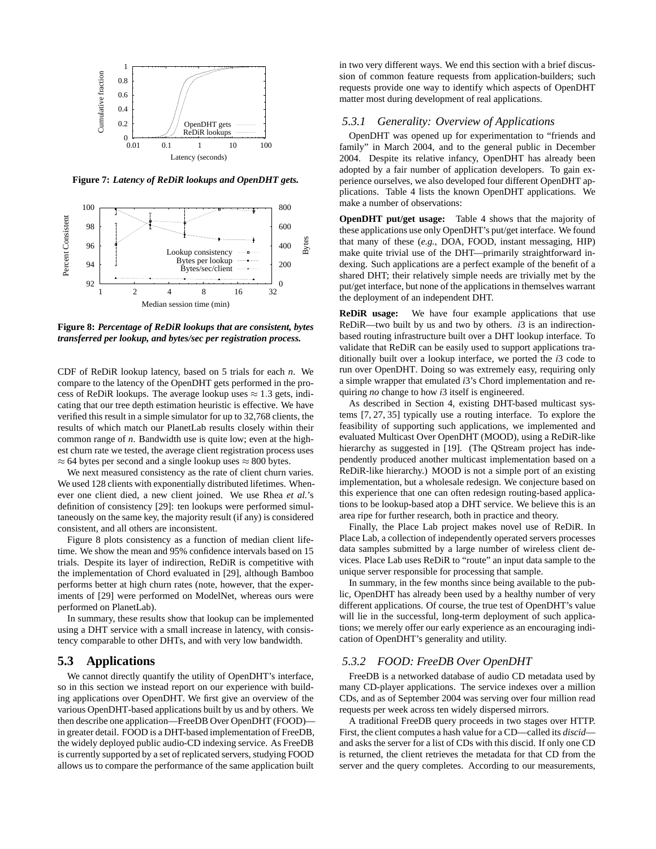

**Figure 7:** *Latency of ReDiR lookups and OpenDHT gets.*



**Figure 8:** *Percentage of ReDiR lookups that are consistent, bytes transferred per lookup, and bytes/sec per registration process.*

CDF of ReDiR lookup latency, based on 5 trials for each *n*. We compare to the latency of the OpenDHT gets performed in the process of ReDiR lookups. The average lookup uses  $\approx 1.3$  gets, indicating that our tree depth estimation heuristic is effective. We have verified this result in a simple simulator for up to 32,768 clients, the results of which match our PlanetLab results closely within their common range of *n*. Bandwidth use is quite low; even at the highest churn rate we tested, the average client registration process uses  $\approx$  64 bytes per second and a single lookup uses  $\approx$  800 bytes.

We next measured consistency as the rate of client churn varies. We used 128 clients with exponentially distributed lifetimes. Whenever one client died, a new client joined. We use Rhea *et al.*'s definition of consistency [29]: ten lookups were performed simultaneously on the same key, the majority result (if any) is considered consistent, and all others are inconsistent.

Figure 8 plots consistency as a function of median client lifetime. We show the mean and 95% confidence intervals based on 15 trials. Despite its layer of indirection, ReDiR is competitive with the implementation of Chord evaluated in [29], although Bamboo performs better at high churn rates (note, however, that the experiments of [29] were performed on ModelNet, whereas ours were performed on PlanetLab).

In summary, these results show that lookup can be implemented using a DHT service with a small increase in latency, with consistency comparable to other DHTs, and with very low bandwidth.

# **5.3 Applications**

We cannot directly quantify the utility of OpenDHT's interface, so in this section we instead report on our experience with building applications over OpenDHT. We first give an overview of the various OpenDHT-based applications built by us and by others. We then describe one application—FreeDB Over OpenDHT (FOOD) in greater detail. FOOD is a DHT-based implementation of FreeDB, the widely deployed public audio-CD indexing service. As FreeDB is currently supported by a set of replicated servers, studying FOOD allows us to compare the performance of the same application built in two very different ways. We end this section with a brief discussion of common feature requests from application-builders; such requests provide one way to identify which aspects of OpenDHT matter most during development of real applications.

#### *5.3.1 Generality: Overview of Applications*

OpenDHT was opened up for experimentation to "friends and family" in March 2004, and to the general public in December 2004. Despite its relative infancy, OpenDHT has already been adopted by a fair number of application developers. To gain experience ourselves, we also developed four different OpenDHT applications. Table 4 lists the known OpenDHT applications. We make a number of observations:

**OpenDHT put/get usage:** Table 4 shows that the majority of these applications use only OpenDHT's put/get interface. We found that many of these (*e.g.*, DOA, FOOD, instant messaging, HIP) make quite trivial use of the DHT—primarily straightforward indexing. Such applications are a perfect example of the benefit of a shared DHT; their relatively simple needs are trivially met by the put/get interface, but none of the applications in themselves warrant the deployment of an independent DHT.

**ReDiR usage:** We have four example applications that use ReDiR—two built by us and two by others. *i*3 is an indirectionbased routing infrastructure built over a DHT lookup interface. To validate that ReDiR can be easily used to support applications traditionally built over a lookup interface, we ported the *i*3 code to run over OpenDHT. Doing so was extremely easy, requiring only a simple wrapper that emulated *i*3's Chord implementation and requiring *no* change to how *i*3 itself is engineered.

As described in Section 4, existing DHT-based multicast systems [7, 27, 35] typically use a routing interface. To explore the feasibility of supporting such applications, we implemented and evaluated Multicast Over OpenDHT (MOOD), using a ReDiR-like hierarchy as suggested in [19]. (The QStream project has independently produced another multicast implementation based on a ReDiR-like hierarchy.) MOOD is not a simple port of an existing implementation, but a wholesale redesign. We conjecture based on this experience that one can often redesign routing-based applications to be lookup-based atop a DHT service. We believe this is an area ripe for further research, both in practice and theory.

Finally, the Place Lab project makes novel use of ReDiR. In Place Lab, a collection of independently operated servers processes data samples submitted by a large number of wireless client devices. Place Lab uses ReDiR to "route" an input data sample to the unique server responsible for processing that sample.

In summary, in the few months since being available to the public, OpenDHT has already been used by a healthy number of very different applications. Of course, the true test of OpenDHT's value will lie in the successful, long-term deployment of such applications; we merely offer our early experience as an encouraging indication of OpenDHT's generality and utility.

#### *5.3.2 FOOD: FreeDB Over OpenDHT*

FreeDB is a networked database of audio CD metadata used by many CD-player applications. The service indexes over a million CDs, and as of September 2004 was serving over four million read requests per week across ten widely dispersed mirrors.

A traditional FreeDB query proceeds in two stages over HTTP. First, the client computes a hash value for a CD—called its *discid* and asks the server for a list of CDs with this discid. If only one CD is returned, the client retrieves the metadata for that CD from the server and the query completes. According to our measurements,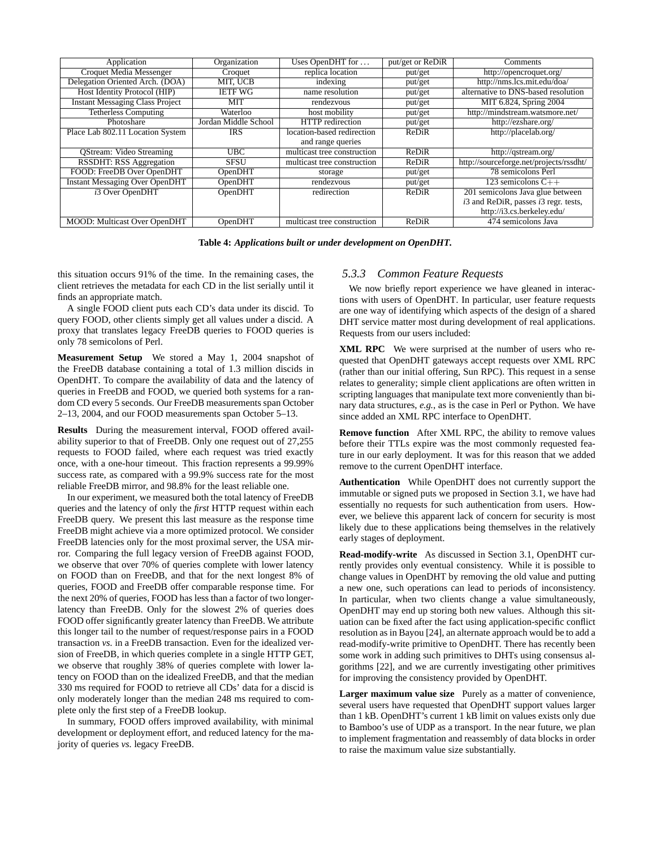| Application                            | Organization         | Uses OpenDHT for            | put/get or ReDiR | Comments                                 |
|----------------------------------------|----------------------|-----------------------------|------------------|------------------------------------------|
| Croquet Media Messenger                | Croquet              | replica location            | put/get          | http://opencroquet.org/                  |
| Delegation Oriented Arch. (DOA)        | MIT, UCB             | indexing                    | put/get          | http://nms.lcs.mit.edu/doa/              |
| Host Identity Protocol (HIP)           | <b>IETF WG</b>       | name resolution             | put/get          | alternative to DNS-based resolution      |
| <b>Instant Messaging Class Project</b> | <b>MIT</b>           | rendezvous                  | put/get          | MIT 6.824, Spring 2004                   |
| <b>Tetherless Computing</b>            | Waterloo             | host mobility               | put/get          | http://mindstream.watsmore.net/          |
| Photoshare                             | Jordan Middle School | <b>HTTP</b> redirection     | put/get          | http://ezshare.org/                      |
| Place Lab 802.11 Location System       | <b>IRS</b>           | location-based redirection  | ReDiR            | http://placelab.org/                     |
|                                        |                      | and range queries           |                  |                                          |
| <b>OStream:</b> Video Streaming        | <b>UBC</b>           | multicast tree construction | ReDiR            | http://qstream.org/                      |
| RSSDHT: RSS Aggregation                | <b>SFSU</b>          | multicast tree construction | ReDiR            | http://sourceforge.net/projects/rssdht/  |
| FOOD: FreeDB Over OpenDHT              | OpenDHT              | storage                     | put/get          | 78 semicolons Perl                       |
| <b>Instant Messaging Over OpenDHT</b>  | OpenDHT              | rendezvous                  | put/get          | 123 semicolons $C++$                     |
| i3 Over OpenDHT                        | OpenDHT              | redirection                 | ReDiR            | 201 semicolons Java glue between         |
|                                        |                      |                             |                  | $i3$ and ReDiR, passes $i3$ regr. tests, |
|                                        |                      |                             |                  | http://i3.cs.berkeley.edu/               |
| <b>MOOD: Multicast Over OpenDHT</b>    | OpenDHT              | multicast tree construction | ReDiR            | 474 semicolons Java                      |

**Table 4:** *Applications built or under development on OpenDHT.*

this situation occurs 91% of the time. In the remaining cases, the client retrieves the metadata for each CD in the list serially until it finds an appropriate match.

A single FOOD client puts each CD's data under its discid. To query FOOD, other clients simply get all values under a discid. A proxy that translates legacy FreeDB queries to FOOD queries is only 78 semicolons of Perl.

**Measurement Setup** We stored a May 1, 2004 snapshot of the FreeDB database containing a total of 1.3 million discids in OpenDHT. To compare the availability of data and the latency of queries in FreeDB and FOOD, we queried both systems for a random CD every 5 seconds. Our FreeDB measurements span October 2–13, 2004, and our FOOD measurements span October 5–13.

**Results** During the measurement interval, FOOD offered availability superior to that of FreeDB. Only one request out of 27,255 requests to FOOD failed, where each request was tried exactly once, with a one-hour timeout. This fraction represents a 99.99% success rate, as compared with a 99.9% success rate for the most reliable FreeDB mirror, and 98.8% for the least reliable one.

In our experiment, we measured both the total latency of FreeDB queries and the latency of only the *first* HTTP request within each FreeDB query. We present this last measure as the response time FreeDB might achieve via a more optimized protocol. We consider FreeDB latencies only for the most proximal server, the USA mirror. Comparing the full legacy version of FreeDB against FOOD, we observe that over 70% of queries complete with lower latency on FOOD than on FreeDB, and that for the next longest 8% of queries, FOOD and FreeDB offer comparable response time. For the next 20% of queries, FOOD has less than a factor of two longerlatency than FreeDB. Only for the slowest 2% of queries does FOOD offer significantly greater latency than FreeDB. We attribute this longer tail to the number of request/response pairs in a FOOD transaction *vs.* in a FreeDB transaction. Even for the idealized version of FreeDB, in which queries complete in a single HTTP GET, we observe that roughly 38% of queries complete with lower latency on FOOD than on the idealized FreeDB, and that the median 330 ms required for FOOD to retrieve all CDs' data for a discid is only moderately longer than the median 248 ms required to complete only the first step of a FreeDB lookup.

In summary, FOOD offers improved availability, with minimal development or deployment effort, and reduced latency for the majority of queries *vs.* legacy FreeDB.

#### *5.3.3 Common Feature Requests*

We now briefly report experience we have gleaned in interactions with users of OpenDHT. In particular, user feature requests are one way of identifying which aspects of the design of a shared DHT service matter most during development of real applications. Requests from our users included:

**XML RPC** We were surprised at the number of users who requested that OpenDHT gateways accept requests over XML RPC (rather than our initial offering, Sun RPC). This request in a sense relates to generality; simple client applications are often written in scripting languages that manipulate text more conveniently than binary data structures, *e.g.*, as is the case in Perl or Python. We have since added an XML RPC interface to OpenDHT.

**Remove function** After XML RPC, the ability to remove values before their TTLs expire was the most commonly requested feature in our early deployment. It was for this reason that we added remove to the current OpenDHT interface.

**Authentication** While OpenDHT does not currently support the immutable or signed puts we proposed in Section 3.1, we have had essentially no requests for such authentication from users. However, we believe this apparent lack of concern for security is most likely due to these applications being themselves in the relatively early stages of deployment.

**Read-modify-write** As discussed in Section 3.1, OpenDHT currently provides only eventual consistency. While it is possible to change values in OpenDHT by removing the old value and putting a new one, such operations can lead to periods of inconsistency. In particular, when two clients change a value simultaneously, OpenDHT may end up storing both new values. Although this situation can be fixed after the fact using application-specific conflict resolution as in Bayou [24], an alternate approach would be to add a read-modify-write primitive to OpenDHT. There has recently been some work in adding such primitives to DHTs using consensus algorithms [22], and we are currently investigating other primitives for improving the consistency provided by OpenDHT.

**Larger maximum value size** Purely as a matter of convenience, several users have requested that OpenDHT support values larger than 1 kB. OpenDHT's current 1 kB limit on values exists only due to Bamboo's use of UDP as a transport. In the near future, we plan to implement fragmentation and reassembly of data blocks in order to raise the maximum value size substantially.